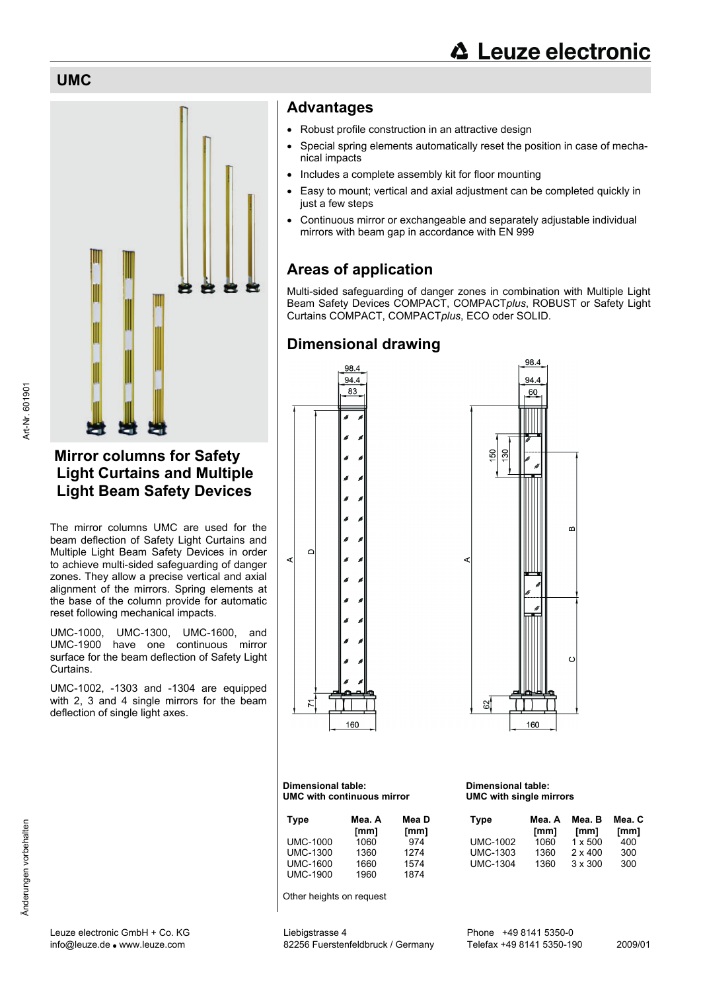**UMC**



# **Mirror columns for Safety Light Curtains and Multiple Light Beam Safety Devices**

The mirror columns UMC are used for the beam deflection of Safety Light Curtains and Multiple Light Beam Safety Devices in order to achieve multi-sided safeguarding of danger zones. They allow a precise vertical and axial alignment of the mirrors. Spring elements at the base of the column provide for automatic reset following mechanical impacts.

UMC-1000, UMC-1300, UMC-1600, and UMC-1900 have one continuous mirror surface for the beam deflection of Safety Light Curtains.

UMC-1002, -1303 and -1304 are equipped with 2, 3 and 4 single mirrors for the beam deflection of single light axes.

# **Advantages**

- Robust profile construction in an attractive design
- Special spring elements automatically reset the position in case of mechanical impacts
- Includes a complete assembly kit for floor mounting
- Easy to mount; vertical and axial adjustment can be completed quickly in just a few steps
- Continuous mirror or exchangeable and separately adjustable individual mirrors with beam gap in accordance with EN 999

# **Areas of application**

Multi-sided safeguarding of danger zones in combination with Multiple Light Beam Safety Devices COMPACT, COMPACT*plus*, ROBUST or Safety Light Curtains COMPACT, COMPACT*plus*, ECO oder SOLID.

# **Dimensional drawing**





#### **Dimensional table: UMC with continuous mirror**

| <b>Type</b>     | Mea. A<br>$\mathsf{m}\mathsf{m}$ | Mea D<br>$\lfloor mm \rfloor$ |
|-----------------|----------------------------------|-------------------------------|
| <b>UMC-1000</b> | 1060                             | 974                           |
| <b>UMC-1300</b> | 1360                             | 1274                          |
| <b>UMC-1600</b> | 1660                             | 1574                          |
| <b>UMC-1900</b> | 1960                             | 1874                          |

Other heights on request

#### **Dimensional table: UMC with single mirrors**

| Mea. A<br>[mm] | Mea. B<br>${\rm [mm]}$ | Mea. C<br>[mm] |
|----------------|------------------------|----------------|
| 1060           | $1 \times 500$         | 400            |
| 1360           | $2 \times 400$         | 300            |
| 1360           | $3 \times 300$         | 300            |
|                |                        |                |

Art-Nr. 601901

Art-Nr. 601901

info@leuze.de ● www.leuze.com 82256 Fuerstenfeldbruck / Germany Telefax +49 8141 5350-190 2009/01